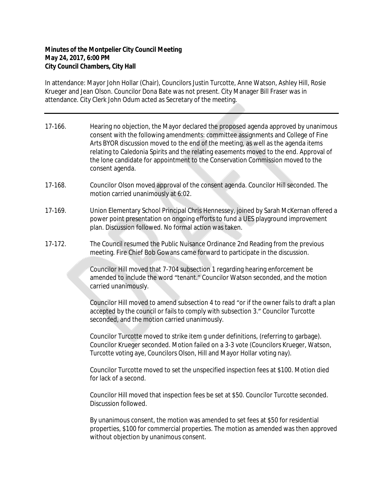## **Minutes of the Montpelier City Council Meeting May 24, 2017, 6:00 PM City Council Chambers, City Hall**

In attendance: Mayor John Hollar (Chair), Councilors Justin Turcotte, Anne Watson, Ashley Hill, Rosie Krueger and Jean Olson. Councilor Dona Bate was not present. City Manager Bill Fraser was in attendance. City Clerk John Odum acted as Secretary of the meeting.

- 17-166. Hearing no objection, the Mayor declared the proposed agenda approved by unanimous consent with the following amendments: committee assignments and College of Fine Arts BYOR discussion moved to the end of the meeting, as well as the agenda items relating to Caledonia Spirits and the relating easements moved to the end. Approval of the lone candidate for appointment to the Conservation Commission moved to the consent agenda.
- 17-168. Councilor Olson moved approval of the consent agenda. Councilor Hill seconded. The motion carried unanimously at 6:02.
- 17-169. Union Elementary School Principal Chris Hennessey, joined by Sarah McKernan offered a power point presentation on ongoing efforts to fund a UES playground improvement plan. Discussion followed. No formal action was taken.
- 17-172. The Council resumed the Public Nuisance Ordinance 2nd Reading from the previous meeting. Fire Chief Bob Gowans came forward to participate in the discussion.

Councilor Hill moved that 7-704 subsection 1 regarding hearing enforcement be amended to include the word "tenant." Councilor Watson seconded, and the motion carried unanimously.

Councilor Hill moved to amend subsection 4 to read "or if the owner fails to draft a plan accepted by the council or fails to comply with subsection 3." Councilor Turcotte seconded, and the motion carried unanimously.

Councilor Turcotte moved to strike item g under definitions, (referring to garbage). Councilor Krueger seconded. Motion failed on a 3-3 vote (Councilors Krueger, Watson, Turcotte voting aye, Councilors Olson, Hill and Mayor Hollar voting nay).

Councilor Turcotte moved to set the unspecified inspection fees at \$100. Motion died for lack of a second.

Councilor Hill moved that inspection fees be set at \$50. Councilor Turcotte seconded. Discussion followed.

By unanimous consent, the motion was amended to set fees at \$50 for residential properties, \$100 for commercial properties. The motion as amended was then approved without objection by unanimous consent.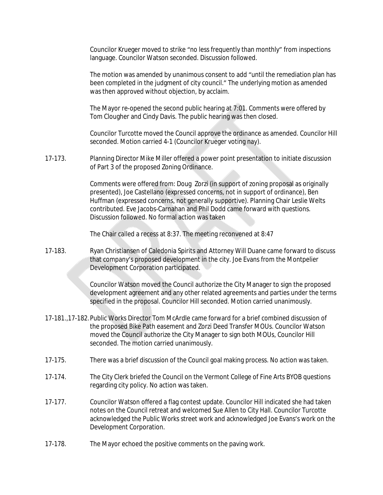Councilor Krueger moved to strike "no less frequently than monthly" from inspections language. Councilor Watson seconded. Discussion followed.

The motion was amended by unanimous consent to add "until the remediation plan has been completed in the judgment of city council." The underlying motion as amended was then approved without objection, by acclaim.

The Mayor re-opened the second public hearing at 7:01. Comments were offered by Tom Clougher and Cindy Davis. The public hearing was then closed.

Councilor Turcotte moved the Council approve the ordinance as amended. Councilor Hill seconded. Motion carried 4-1 (Councilor Krueger voting nay).

17-173. Planning Director Mike Miller offered a power point presentation to initiate discussion of Part 3 of the proposed Zoning Ordinance.

> Comments were offered from: Doug Zorzi (in support of zoning proposal as originally presented), Joe Castellano (expressed concerns, not in support of ordinance), Ben Huffman (expressed concerns, not generally supportive). Planning Chair Leslie Welts contributed. Eve Jacobs-Carnahan and Phil Dodd came forward with questions. Discussion followed. No formal action was taken

The Chair called a recess at 8:37. The meeting reconvened at 8:47

17-183. Ryan Christiansen of Caledonia Spirits and Attorney Will Duane came forward to discuss that company's proposed development in the city. Joe Evans from the Montpelier Development Corporation participated.

> Councilor Watson moved the Council authorize the City Manager to sign the proposed development agreement and any other related agreements and parties under the terms specified in the proposal. Councilor Hill seconded. Motion carried unanimously.

- 17-181.,17-182.Public Works Director Tom McArdle came forward for a brief combined discussion of the proposed Bike Path easement and Zorzi Deed Transfer MOUs. Councilor Watson moved the Council authorize the City Manager to sign both MOUs, Councilor Hill seconded. The motion carried unanimously.
- 17-175. There was a brief discussion of the Council goal making process. No action was taken.
- 17-174. The City Clerk briefed the Council on the Vermont College of Fine Arts BYOB questions regarding city policy. No action was taken.
- 17-177. Councilor Watson offered a flag contest update. Councilor Hill indicated she had taken notes on the Council retreat and welcomed Sue Allen to City Hall. Councilor Turcotte acknowledged the Public Works street work and acknowledged Joe Evans's work on the Development Corporation.
- 17-178. The Mayor echoed the positive comments on the paving work.